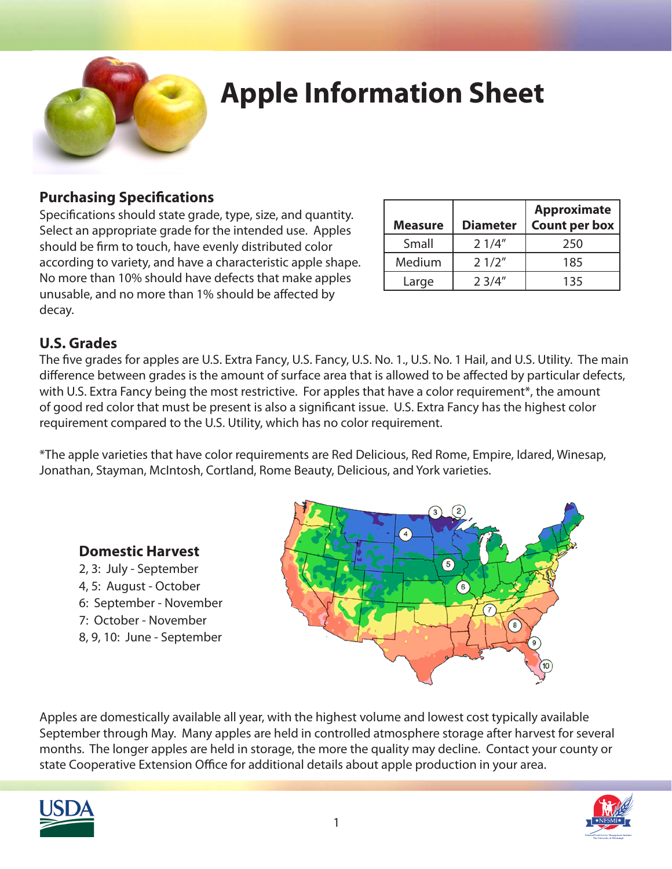

## **Apple Information Sheet**

### **Purchasing Specifications**

Specifications should state grade, type, size, and quantity. Select an appropriate grade for the intended use. Apples should be firm to touch, have evenly distributed color according to variety, and have a characteristic apple shape. No more than 10% should have defects that make apples unusable, and no more than 1% should be affected by decay.

| <b>Measure</b> | <b>Diameter</b> | <b>Approximate</b><br><b>Count per box</b> |
|----------------|-----------------|--------------------------------------------|
| Small          | 21/4"           | 250                                        |
| Medium         | 21/2"           | 185                                        |
| Large          | 2.3/4''         | 135                                        |

### **U.S. Grades**

The five grades for apples are U.S. Extra Fancy, U.S. Fancy, U.S. No. 1., U.S. No. 1 Hail, and U.S. Utility. The main difference between grades is the amount of surface area that is allowed to be affected by particular defects, with U.S. Extra Fancy being the most restrictive. For apples that have a color requirement\*, the amount of good red color that must be present is also a significant issue. U.S. Extra Fancy has the highest color requirement compared to the U.S. Utility, which has no color requirement.

\*The apple varieties that have color requirements are Red Delicious, Red Rome, Empire, Idared, Winesap, Jonathan, Stayman, McIntosh, Cortland, Rome Beauty, Delicious, and York varieties.



#### **Domestic Harvest**

- 2, 3: July September
- 4, 5: August October
- 6: September November
- 7: October November
- 8, 9, 10: June September

Apples are domestically available all year, with the highest volume and lowest cost typically available September through May. Many apples are held in controlled atmosphere storage after harvest for several months. The longer apples are held in storage, the more the quality may decline. Contact your county or state Cooperative Extension Office for additional details about apple production in your area.